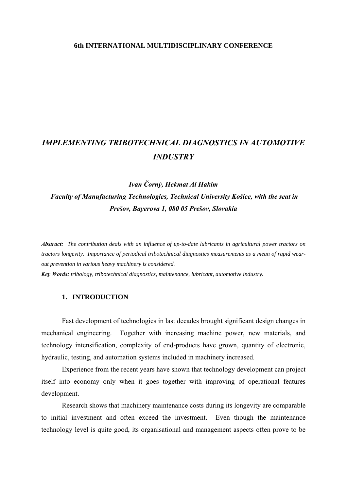## **6th INTERNATIONAL MULTIDISCIPLINARY CONFERENCE**

# *IMPLEMENTING TRIBOTECHNICAL DIAGNOSTICS IN AUTOMOTIVE INDUSTRY*

## *Ivan Čorný, Hekmat Al Hakim Faculty of Manufacturing Technologies, Technical University Košice, with the seat in Prešov, Bayerova 1, 080 05 Prešov, Slovakia*

*Abstract: The contribution deals with an influence of up-to-date lubricants in agricultural power tractors on tractors longevity. Importance of periodical tribotechnical diagnostics measurements as a mean of rapid wearout prevention in various heavy machinery is considered.* 

*Key Words: tribology, tribotechnical diagnostics, maintenance, lubricant, automotive industry.* 

## **1. INTRODUCTION**

 Fast development of technologies in last decades brought significant design changes in mechanical engineering. Together with increasing machine power, new materials, and technology intensification, complexity of end-products have grown, quantity of electronic, hydraulic, testing, and automation systems included in machinery increased.

 Experience from the recent years have shown that technology development can project itself into economy only when it goes together with improving of operational features development.

 Research shows that machinery maintenance costs during its longevity are comparable to initial investment and often exceed the investment. Even though the maintenance technology level is quite good, its organisational and management aspects often prove to be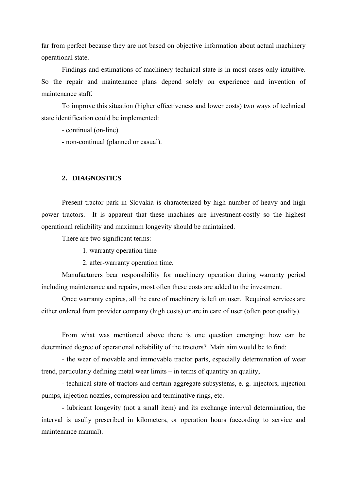far from perfect because they are not based on objective information about actual machinery operational state.

 Findings and estimations of machinery technical state is in most cases only intuitive. So the repair and maintenance plans depend solely on experience and invention of maintenance staff.

 To improve this situation (higher effectiveness and lower costs) two ways of technical state identification could be implemented:

- continual (on-line)

- non-continual (planned or casual).

## **2. DIAGNOSTICS**

Present tractor park in Slovakia is characterized by high number of heavy and high power tractors. It is apparent that these machines are investment-costly so the highest operational reliability and maximum longevity should be maintained.

There are two significant terms:

1. warranty operation time

2. after-warranty operation time.

 Manufacturers bear responsibility for machinery operation during warranty period including maintenance and repairs, most often these costs are added to the investment.

 Once warranty expires, all the care of machinery is left on user. Required services are either ordered from provider company (high costs) or are in care of user (often poor quality).

 From what was mentioned above there is one question emerging: how can be determined degree of operational reliability of the tractors? Main aim would be to find:

 - the wear of movable and immovable tractor parts, especially determination of wear trend, particularly defining metal wear limits – in terms of quantity an quality,

 - technical state of tractors and certain aggregate subsystems, e. g. injectors, injection pumps, injection nozzles, compression and terminative rings, etc.

 - lubricant longevity (not a small item) and its exchange interval determination, the interval is usully prescribed in kilometers, or operation hours (according to service and maintenance manual).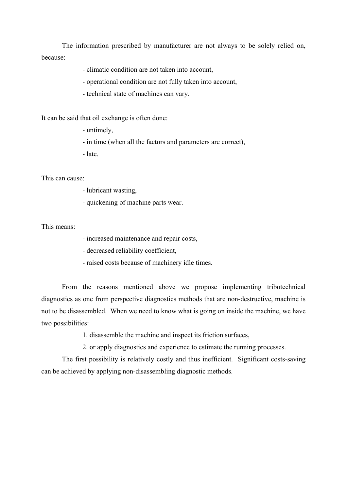The information prescribed by manufacturer are not always to be solely relied on, because:

- climatic condition are not taken into account,

- operational condition are not fully taken into account,

- technical state of machines can vary.

It can be said that oil exchange is often done:

- untimely,

- in time (when all the factors and parameters are correct),

- late.

This can cause:

- lubricant wasting,

- quickening of machine parts wear.

This means:

- increased maintenance and repair costs,

- decreased reliability coefficient,

- raised costs because of machinery idle times.

 From the reasons mentioned above we propose implementing tribotechnical diagnostics as one from perspective diagnostics methods that are non-destructive, machine is not to be disassembled. When we need to know what is going on inside the machine, we have two possibilities:

1. disassemble the machine and inspect its friction surfaces,

2. or apply diagnostics and experience to estimate the running processes.

 The first possibility is relatively costly and thus inefficient. Significant costs-saving can be achieved by applying non-disassembling diagnostic methods.